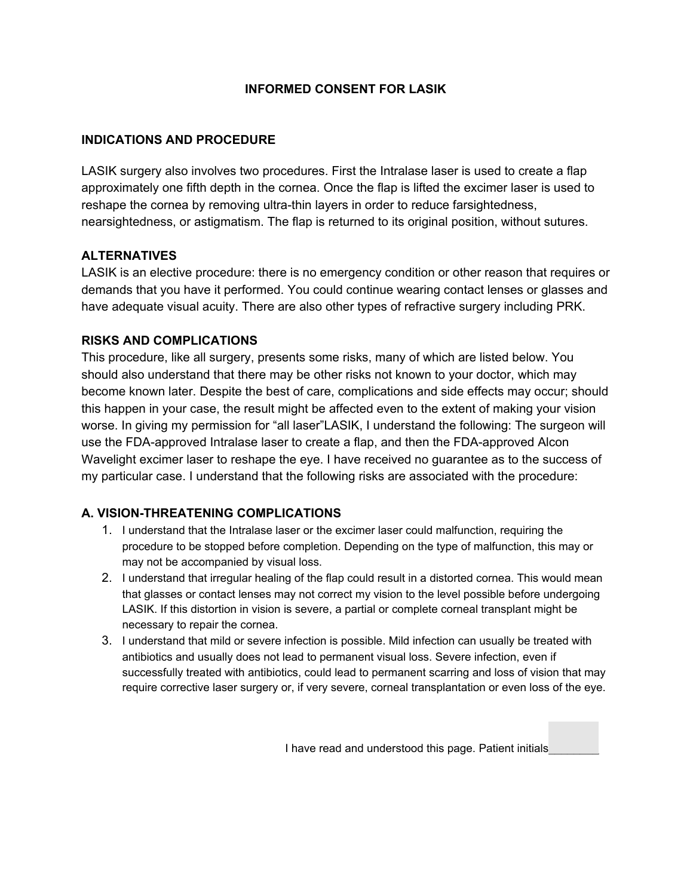## **INFORMED CONSENT FOR LASIK**

### **INDICATIONS AND PROCEDURE**

LASIK surgery also involves two procedures. First the Intralase laser is used to create a flap approximately one fifth depth in the cornea. Once the flap is lifted the excimer laser is used to reshape the cornea by removing ultra-thin layers in order to reduce farsightedness, nearsightedness, or astigmatism. The flap is returned to its original position, without sutures.

### **ALTERNATIVES**

LASIK is an elective procedure: there is no emergency condition or other reason that requires or demands that you have it performed. You could continue wearing contact lenses or glasses and have adequate visual acuity. There are also other types of refractive surgery including PRK.

## **RISKS AND COMPLICATIONS**

This procedure, like all surgery, presents some risks, many of which are listed below. You should also understand that there may be other risks not known to your doctor, which may become known later. Despite the best of care, complications and side effects may occur; should this happen in your case, the result might be affected even to the extent of making your vision worse. In giving my permission for "all laser"LASIK, I understand the following: The surgeon will use the FDA-approved Intralase laser to create a flap, and then the FDA-approved Alcon Wavelight excimer laser to reshape the eye. I have received no guarantee as to the success of my particular case. I understand that the following risks are associated with the procedure:

# **A. VISION-THREATENING COMPLICATIONS**

- 1. I understand that the Intralase laser or the excimer laser could malfunction, requiring the procedure to be stopped before completion. Depending on the type of malfunction, this may or may not be accompanied by visual loss.
- 2. I understand that irregular healing of the flap could result in a distorted cornea. This would mean that glasses or contact lenses may not correct my vision to the level possible before undergoing LASIK. If this distortion in vision is severe, a partial or complete corneal transplant might be necessary to repair the cornea.
- 3. I understand that mild or severe infection is possible. Mild infection can usually be treated with antibiotics and usually does not lead to permanent visual loss. Severe infection, even if successfully treated with antibiotics, could lead to permanent scarring and loss of vision that may require corrective laser surgery or, if very severe, corneal transplantation or even loss of the eye.

I have read and understood this page. Patient initials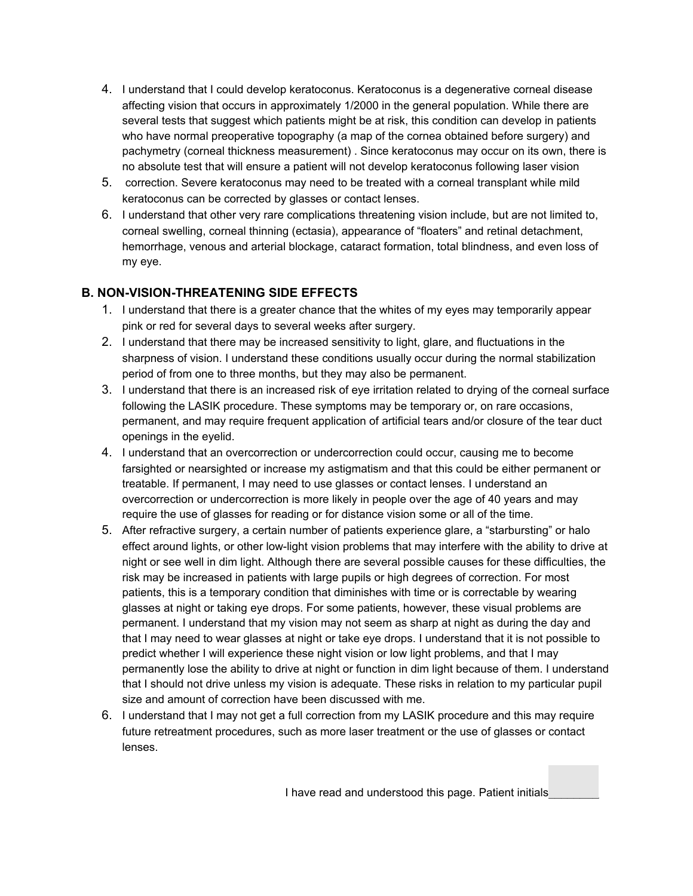- 4. I understand that I could develop keratoconus. Keratoconus is a degenerative corneal disease affecting vision that occurs in approximately 1/2000 in the general population. While there are several tests that suggest which patients might be at risk, this condition can develop in patients who have normal preoperative topography (a map of the cornea obtained before surgery) and pachymetry (corneal thickness measurement) . Since keratoconus may occur on its own, there is no absolute test that will ensure a patient will not develop keratoconus following laser vision
- 5. correction. Severe keratoconus may need to be treated with a corneal transplant while mild keratoconus can be corrected by glasses or contact lenses.
- 6. I understand that other very rare complications threatening vision include, but are not limited to, corneal swelling, corneal thinning (ectasia), appearance of "floaters" and retinal detachment, hemorrhage, venous and arterial blockage, cataract formation, total blindness, and even loss of my eye.

# **B. NON-VISION-THREATENING SIDE EFFECTS**

- 1. I understand that there is a greater chance that the whites of my eyes may temporarily appear pink or red for several days to several weeks after surgery.
- 2. I understand that there may be increased sensitivity to light, glare, and fluctuations in the sharpness of vision. I understand these conditions usually occur during the normal stabilization period of from one to three months, but they may also be permanent.
- 3. I understand that there is an increased risk of eye irritation related to drying of the corneal surface following the LASIK procedure. These symptoms may be temporary or, on rare occasions, permanent, and may require frequent application of artificial tears and/or closure of the tear duct openings in the eyelid.
- 4. I understand that an overcorrection or undercorrection could occur, causing me to become farsighted or nearsighted or increase my astigmatism and that this could be either permanent or treatable. If permanent, I may need to use glasses or contact lenses. I understand an overcorrection or undercorrection is more likely in people over the age of 40 years and may require the use of glasses for reading or for distance vision some or all of the time.
- 5. After refractive surgery, a certain number of patients experience glare, a "starbursting" or halo effect around lights, or other low-light vision problems that may interfere with the ability to drive at night or see well in dim light. Although there are several possible causes for these difficulties, the risk may be increased in patients with large pupils or high degrees of correction. For most patients, this is a temporary condition that diminishes with time or is correctable by wearing glasses at night or taking eye drops. For some patients, however, these visual problems are permanent. I understand that my vision may not seem as sharp at night as during the day and that I may need to wear glasses at night or take eye drops. I understand that it is not possible to predict whether I will experience these night vision or low light problems, and that I may permanently lose the ability to drive at night or function in dim light because of them. I understand that I should not drive unless my vision is adequate. These risks in relation to my particular pupil size and amount of correction have been discussed with me.
- 6. I understand that I may not get a full correction from my LASIK procedure and this may require future retreatment procedures, such as more laser treatment or the use of glasses or contact lenses.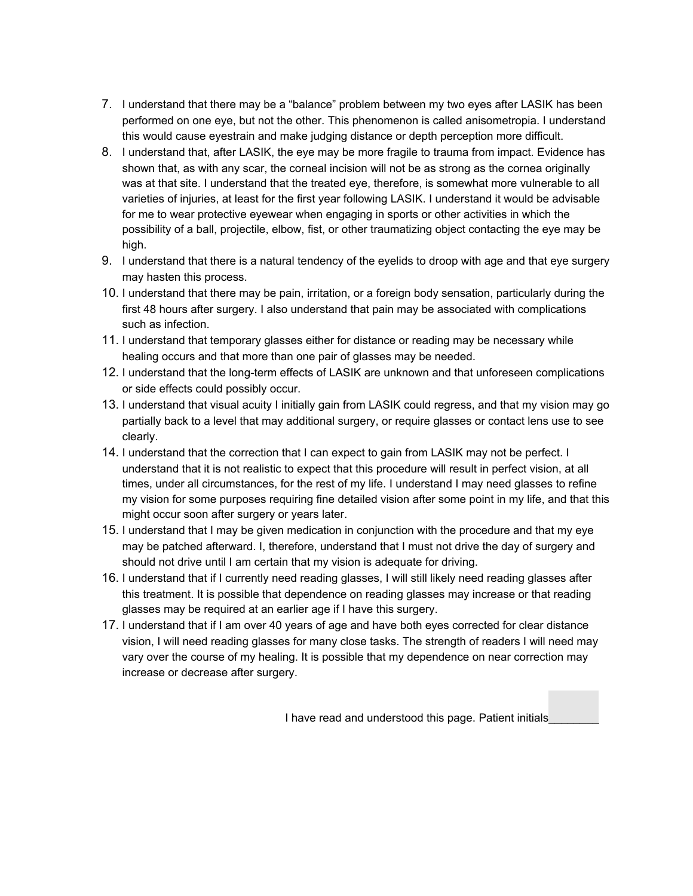- 7. I understand that there may be a "balance" problem between my two eyes after LASIK has been performed on one eye, but not the other. This phenomenon is called anisometropia. I understand this would cause eyestrain and make judging distance or depth perception more difficult.
- 8. I understand that, after LASIK, the eye may be more fragile to trauma from impact. Evidence has shown that, as with any scar, the corneal incision will not be as strong as the cornea originally was at that site. I understand that the treated eye, therefore, is somewhat more vulnerable to all varieties of injuries, at least for the first year following LASIK. I understand it would be advisable for me to wear protective eyewear when engaging in sports or other activities in which the possibility of a ball, projectile, elbow, fist, or other traumatizing object contacting the eye may be high.
- 9. I understand that there is a natural tendency of the eyelids to droop with age and that eye surgery may hasten this process.
- 10. I understand that there may be pain, irritation, or a foreign body sensation, particularly during the first 48 hours after surgery. I also understand that pain may be associated with complications such as infection.
- 11. I understand that temporary glasses either for distance or reading may be necessary while healing occurs and that more than one pair of glasses may be needed.
- 12. I understand that the long-term effects of LASIK are unknown and that unforeseen complications or side effects could possibly occur.
- 13. I understand that visual acuity I initially gain from LASIK could regress, and that my vision may go partially back to a level that may additional surgery, or require glasses or contact lens use to see clearly.
- 14. I understand that the correction that I can expect to gain from LASIK may not be perfect. I understand that it is not realistic to expect that this procedure will result in perfect vision, at all times, under all circumstances, for the rest of my life. I understand I may need glasses to refine my vision for some purposes requiring fine detailed vision after some point in my life, and that this might occur soon after surgery or years later.
- 15. I understand that I may be given medication in conjunction with the procedure and that my eye may be patched afterward. I, therefore, understand that I must not drive the day of surgery and should not drive until I am certain that my vision is adequate for driving.
- 16. I understand that if I currently need reading glasses, I will still likely need reading glasses after this treatment. It is possible that dependence on reading glasses may increase or that reading glasses may be required at an earlier age if I have this surgery.
- 17. I understand that if I am over 40 years of age and have both eyes corrected for clear distance vision, I will need reading glasses for many close tasks. The strength of readers I will need may vary over the course of my healing. It is possible that my dependence on near correction may increase or decrease after surgery.

I have read and understood this page. Patient initials